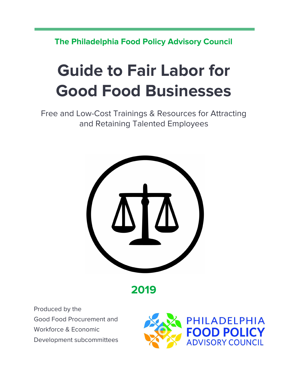**The Philadelphia Food Policy Advisory Council**

# **Guide to Fair Labor for Good Food Businesses**

Free and Low-Cost Trainings & Resources for Attracting and Retaining Talented Employees



**2019**

Produced by the Good Food Procurement and Workforce & Economic Development subcommittees

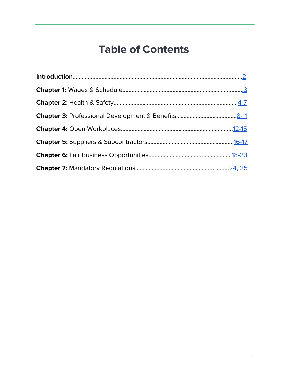### **Table of Contents**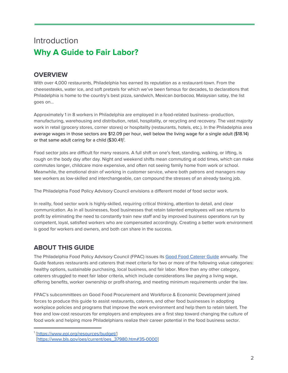### <span id="page-2-0"></span>Introduction **Why A Guide to Fair Labor?**

#### **OVERVIEW**

With over 4,000 restaurants, Philadelphia has earned its reputation as a restaurant-town. From the cheesesteaks, water ice, and soft pretzels for which we've been famous for decades, to declarations that Philadelphia is home to the country's best pizza, sandwich, Mexican barbacoa, Malaysian satay, the list goes on…

Approximately 1 in 8 workers in Philadelphia are employed in a food-related business--production, manufacturing, warehousing and distribution, retail, hospitality, or recycling and recovery. The vast majority work in retail (grocery stores, corner stores) or hospitality (restaurants, hotels, etc.). In the Philadelphia area average wages in those sectors are \$12.09 per hour, well below the living wage for a single adult (\$18.14) or that same adult caring for a child (\$30.41)<sup>1</sup>.

Food sector jobs are difficult for many reasons. A full shift on one's feet, standing, walking, or lifting, is rough on the body day after day. Night and weekend shifts mean commuting at odd times, which can make commutes longer, childcare more expensive, and often not seeing family home from work or school. Meanwhile, the emotional drain of working in customer service, where both patrons and managers may see workers as low-skilled and interchangeable, can compound the stresses of an already taxing job.

The Philadelphia Food Policy Advisory Council envisions a different model of food sector work.

In reality, food sector work is highly-skilled, requiring critical thinking, attention to detail, and clear communication. As in all businesses, food businesses that retain talented employees will see returns to profit by eliminating the need to constantly train new staff and by improved business operations run by competent, loyal, satisfied workers who are compensated accordingly. Creating a better work environment is good for workers and owners, and both can share in the success.

#### **ABOUT THIS GUIDE**

The Philadelphia Food Policy Advisory Council (FPAC) issues its Good Food [Caterer](https://phillyfpac.org/good-food-caterer-guide/) Guide annually. The Guide features restaurants and caterers that meet criteria for two or more of the following value categories: healthy options, sustainable purchasing, local business, and fair labor. More than any other category, caterers struggled to meet fair labor criteria, which include considerations like paying a living wage, offering benefits, worker ownership or profit-sharing, and meeting minimum requirements under the law.

FPAC's subcommittees on Good Food Procurement and Workforce & Economic Development joined forces to produce this guide to assist restaurants, caterers, and other food businesses in adopting workplace policies and programs that improve the work environment and help them to retain talent. The free and low-cost resources for employers and employees are a first step toward changing the culture of food work and helping more Philadelphians realize their career potential in the food business sector.

<sup>1</sup> [\[https://www.epi.org/resources/budget/\]](https://www.epi.org/resources/budget/) [[https://www.bls.gov/oes/current/oes\\_37980.htm#35-0000](https://www.bls.gov/oes/current/oes_37980.htm#35-0000)]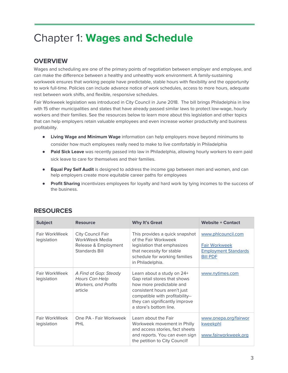### <span id="page-3-0"></span>Chapter 1: **Wages and Schedule**

#### **OVERVIEW**

Wages and scheduling are one of the primary points of negotiation between employer and employee, and can make the difference between a healthy and unhealthy work environment. A family-sustaining workweek ensures that working people have predictable, stable hours with flexibility and the opportunity to work full-time. Policies can include advance notice of work schedules, access to more hours, adequate rest between work shifts, and flexible, responsive schedules.

Fair Workweek legislation was introduced in City Council in June 2018. The bill brings Philadelphia in line with 15 other municipalities and states that have already passed similar laws to protect low-wage, hourly workers and their families. See the resources below to learn more about this legislation and other topics that can help employers retain valuable employees and even increase worker productivity and business profitability.

- **Living Wage and Minimum Wage** information can help employers move beyond minimums to consider how much employees really need to make to live comfortably in Philadelphia
- **Paid Sick Leave** was recently passed into law in Philadelphia, allowing hourly workers to earn paid sick leave to care for themselves and their families.
- **● Equal Pay Self Audit** is designed to address the income gap between men and women, and can help employers create more equitable career paths for employees
- **● Profit Sharing** incentivizes employees for loyalty and hard work by tying incomes to the success of the business.

| <b>Subject</b>               | <b>Resource</b>                                                                   | <b>Why It's Great</b>                                                                                                                                                                                                 | <b>Website + Contact</b>                                                                     |
|------------------------------|-----------------------------------------------------------------------------------|-----------------------------------------------------------------------------------------------------------------------------------------------------------------------------------------------------------------------|----------------------------------------------------------------------------------------------|
| Fair WorkWeek<br>legislation | City Council Fair<br>WorkWeek Media<br>Release & Employment<br>Standards Bill     | This provides a quick snapshot<br>of the Fair Workweek<br>legislation that emphasizes<br>that necessity for stable<br>schedule for working families<br>in Philadelphia.                                               | www.phlcouncil.com<br><b>Fair Workweek</b><br><b>Employment Standards</b><br><b>Bill PDF</b> |
| Fair WorkWeek<br>legislation | A Find at Gap: Steady<br>Hours Can Help<br><b>Workers, and Profits</b><br>article | Learn about a study on 24+<br>Gap retail stores that shows<br>how more predictable and<br>consistent hours aren't just<br>compatible with profitability--<br>they can significantly improve<br>a store's bottom line. | www.nytimes.com                                                                              |
| Fair WorkWeek<br>legislation | One PA - Fair Workweek<br>PHI                                                     | Learn about the Fair<br>Workweek movement in Philly<br>and access stories, fact sheets<br>and reports. You can even sign<br>the petition to City Council!                                                             | www.onepa.org/fairwor<br>kweekphl<br>www.fairworkweek.org                                    |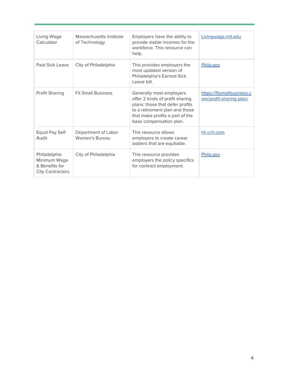| Living Wage<br>Calculator                                                 | Massachusetts Institute<br>of Technology | Employers have the ability to<br>provide stable incomes for the<br>workforce. This resource can<br>help.                                                                                       | Livingwage.mit.edu                                    |
|---------------------------------------------------------------------------|------------------------------------------|------------------------------------------------------------------------------------------------------------------------------------------------------------------------------------------------|-------------------------------------------------------|
| Paid Sick Leave                                                           | Clty of Philadelphia                     | This provides employers the<br>most updated version of<br>Philadelphia's Earned Sick<br>Leave bill.                                                                                            | Phila.gov                                             |
| Profit Sharing                                                            | <b>Fit Small Business</b>                | Generally most employers<br>offer 2 kinds of profit sharing<br>plans: those that defer profits<br>to a retirement plan and those<br>that make profits a part of the<br>base compensation plan. | https://fitsmallbusiness.c<br>om/profit-sharing-plan/ |
| Equal Pay Self<br>Audit                                                   | Department of Labor<br>Women's Bureau    | This resource allows<br>employers to create career<br>ladders that are equitable.                                                                                                              | Hr.cch.com                                            |
| Philadelphia<br>Minimum Wage<br>& Benefits for<br><b>City Contractors</b> | City of Philadelphia                     | This resource provides<br>employers the policy specifics<br>for contract employment.                                                                                                           | Phila.gov                                             |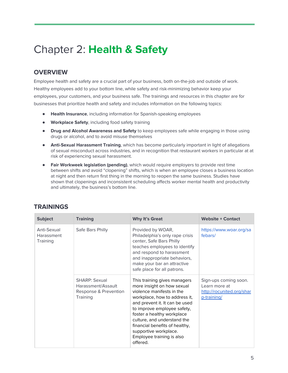### <span id="page-5-0"></span>Chapter 2: **Health & Safety**

#### **OVERVIEW**

Employee health and safety are a crucial part of your business, both on-the-job and outside of work. Healthy employees add to your bottom line, while safety and risk-minimizing behavior keep your employees, your customers, and your business safe. The trainings and resources in this chapter are for businesses that prioritize health and safety and includes information on the following topics:

- **Health Insurance**, including information for Spanish-speaking employees
- **Workplace Safety**, including food safety training
- **Drug and Alcohol Awareness and Safety** to keep employees safe while engaging in those using drugs or alcohol, and to avoid misuse themselves
- **● Anti-Sexual Harassment Training**, which has become particularly important in light of allegations of sexual misconduct across industries, and in recognition that restaurant workers in particular at at risk of experiencing sexual harassment.
- **● Fair Workweek legislation (pending)**, which would require employers to provide rest time between shifts and avoid "clopening" shifts, which is when an employee closes a business location at night and then return first thing in the morning to reopen the same business. Studies have shown that clopenings and inconsistent scheduling affects worker mental health and productivity and ultimately, the business's bottom line.

| <b>Subject</b>                        | <b>Training</b>                                                                 | <b>Why It's Great</b>                                                                                                                                                                                                                                                                                                                                      | <b>Website + Contact</b>                                                           |
|---------------------------------------|---------------------------------------------------------------------------------|------------------------------------------------------------------------------------------------------------------------------------------------------------------------------------------------------------------------------------------------------------------------------------------------------------------------------------------------------------|------------------------------------------------------------------------------------|
| Anti-Sexual<br>Harassment<br>Training | Safe Bars Philly                                                                | Provided by WOAR,<br>Philadelphia's only rape crisis<br>center, Safe Bars Philly<br>teaches employees to identify<br>and respond to harassment<br>and inappropriate behaviors,<br>make your bar an attractive<br>safe place for all patrons.                                                                                                               | https://www.woar.org/sa<br>febars/                                                 |
|                                       | <b>SHARP: Sexual</b><br>Harassment/Assault<br>Response & Prevention<br>Training | This training gives managers<br>more insight on how sexual<br>violence manifests in the<br>workplace, how to address it,<br>and prevent it. It can be used<br>to improve employee safety,<br>foster a healthy workplace<br>culture, and understand the<br>financial benefits of healthy,<br>supportive workplace.<br>Employee training is also<br>offered. | Sign-ups coming soon.<br>Learn more at<br>http://rocunited.org/shar<br>p-training/ |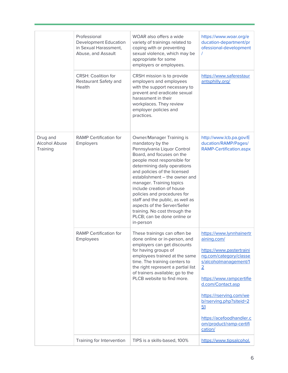|                                              | Professional<br><b>Development Education</b><br>in Sexual Harassment,<br>Abuse, and Assault<br><b>CRSH: Coalition for</b><br>Restaurant Safety and<br>Health | WOAR also offers a wide<br>variety of trainings related to<br>coping with or preventing<br>sexual violence, which may be<br>appropriate for some<br>employers or employees.<br>CRSH mission is to provide<br>employers and employees<br>with the support necessary to<br>prevent and eradicate sexual<br>harassment in their<br>workplaces. They review<br>employer policies and<br>practices.                                                                                     | https://www.woar.org/e<br>ducation-department/pr<br>ofessional-development<br>https://www.saferestaur<br>antsphilly.org/                                                                                                                                                                                                |
|----------------------------------------------|--------------------------------------------------------------------------------------------------------------------------------------------------------------|------------------------------------------------------------------------------------------------------------------------------------------------------------------------------------------------------------------------------------------------------------------------------------------------------------------------------------------------------------------------------------------------------------------------------------------------------------------------------------|-------------------------------------------------------------------------------------------------------------------------------------------------------------------------------------------------------------------------------------------------------------------------------------------------------------------------|
| Drug and<br><b>Alcohol Abuse</b><br>Training | <b>RAMP Certification for</b><br>Employers                                                                                                                   | Owner/Manager Training is<br>mandatory by the<br>Pennsylvania Liquor Control<br>Board, and focuses on the<br>people most responsible for<br>determining daily operations<br>and policies of the licensed<br>establishment - the owner and<br>manager. Training topics<br>include creation of house<br>policies and procedures for<br>staff and the public, as well as<br>aspects of the Server/Seller<br>training. No cost through the<br>PLCB; can be done online or<br>in-person | http://www.lcb.pa.gov/E<br>ducation/RAMP/Pages/<br>RAMP-Certification.aspx                                                                                                                                                                                                                                              |
|                                              | <b>RAMP</b> Certification for<br>Employees                                                                                                                   | These trainings can often be<br>done online or in-person, and<br>employers can get discounts<br>for having groups of<br>employees trained at the same<br>time. The training centers to<br>the right represent a partial list<br>of trainers available; go to the<br>PLCB website to find more.                                                                                                                                                                                     | https://www.lynnhainertr<br>aining.com/<br>https://www.pastertraini<br>ng.com/category/classe<br>s/alcoholmanagement/1<br>$\overline{2}$<br>https://www.rampcertifie<br>d.com/Contact.asp<br>https://rserving.com/we<br>b/rserving.php?siteid=2<br>51<br>https://acefoodhandler.c<br>om/product/ramp-certifi<br>cation/ |
|                                              | Training for Intervention                                                                                                                                    | TIPS is a skills-based, 100%                                                                                                                                                                                                                                                                                                                                                                                                                                                       | https://www.tipsalcohol.                                                                                                                                                                                                                                                                                                |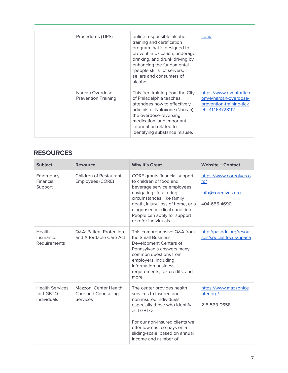|  | Procedures (TIPS)                             | online responsible alcohol<br>training and certification<br>program that is designed to<br>prevent intoxication, underage<br>drinking, and drunk driving by<br>enhancing the fundamental<br>"people skills" of servers,<br>sellers and consumers of<br>alcohol. | com/                                                                                             |
|--|-----------------------------------------------|-----------------------------------------------------------------------------------------------------------------------------------------------------------------------------------------------------------------------------------------------------------------|--------------------------------------------------------------------------------------------------|
|  | Narcan Overdose<br><b>Prevention Training</b> | This free training from the City<br>of Philadelphia teaches<br>attendees how to effectively<br>administer Naloxone (Narcan),<br>the overdose-reversing<br>medication, and important<br>information related to<br>identifying substance misuse.                  | https://www.eventbrite.c<br>om/e/narcan-overdose-<br>prevention-training-tick<br>ets-41463723112 |

| <b>Subject</b>                                            | <b>Resource</b>                                                 | <b>Why It's Great</b>                                                                                                                                                                                                                                                          | <b>Website + Contact</b>                                                    |
|-----------------------------------------------------------|-----------------------------------------------------------------|--------------------------------------------------------------------------------------------------------------------------------------------------------------------------------------------------------------------------------------------------------------------------------|-----------------------------------------------------------------------------|
| Emergency<br>Financial<br>Support                         | Children of Restaurant<br>Employees (CORE)                      | CORE grants financial support<br>to children of food and<br>beverage service employees<br>navigating life-altering<br>circumstances, like family<br>death, injury, loss of home, or a<br>diagnosed medical condition.<br>People can apply for support<br>or refer individuals. | https://www.coregives.o<br><u>rg/</u><br>info@coregives.org<br>404-655-4690 |
| Health<br>Insurance<br>Requirements                       | <b>Q&amp;A: Patient Protection</b><br>and Affordable Care Act   | This comprehensive Q&A from<br>the Small Business<br>Development Centers of<br>Pennsylvania answers many<br>common questions from<br>employers, including<br>information business<br>requirements, tax credits, and<br>more.                                                   | http://pasbdc.org/resour<br>ces/special-focus/ppaca                         |
| <b>Health Services</b><br>for LGBTQ<br><b>Individuals</b> | Mazzoni Center Health<br>Care and Counseling<br><b>Services</b> | The center provides health<br>services to insured and<br>non-insured individuals,<br>especially those who identify<br>as LGBTQ.<br>For our non-insured clients we<br>offer low cost co-pays on a<br>sliding-scale, based on annual<br>income and number of                     | https://www.mazzonice<br>nter.org/<br>215-563-0658                          |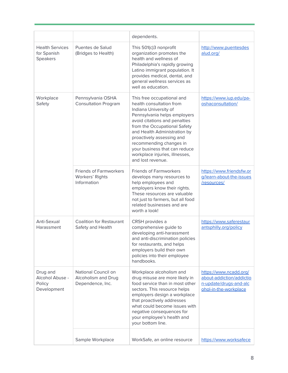|                                                      |                                                                 | dependents.                                                                                                                                                                                                                                                                                                                                                      |                                                                                                       |
|------------------------------------------------------|-----------------------------------------------------------------|------------------------------------------------------------------------------------------------------------------------------------------------------------------------------------------------------------------------------------------------------------------------------------------------------------------------------------------------------------------|-------------------------------------------------------------------------------------------------------|
| <b>Health Services</b><br>for Spanish<br>Speakers    | Puentes de Salud<br>(Bridges to Health)                         | This 501(c)3 nonprofit<br>organization promotes the<br>health and wellness of<br>Philadelphia's rapidly growing<br>Latino immigrant population. It<br>provides medical, dental, and<br>general wellness services as<br>well as education.                                                                                                                        | http://www.puentesdes<br>alud.org/                                                                    |
| Workplace<br>Safety                                  | Pennsylvania OSHA<br><b>Consultation Program</b>                | This free occupational and<br>health consultation from<br>Indiana University of<br>Pennsylvania helps employers<br>avoid citations and penalties<br>from the Occupational Safety<br>and Health Administration by<br>proactively assessing and<br>recommending changes in<br>your business that can reduce<br>workplace injuries, illnesses,<br>and lost revenue. | https://www.iup.edu/pa-<br>oshaconsultation/                                                          |
|                                                      | <b>Friends of Farmworkers</b><br>Workers' Rights<br>Information | <b>Friends of Farmworkers</b><br>develops many resources to<br>help employees and<br>employers know their rights.<br>These resources are valuable<br>not just to farmers, but all food<br>related businesses and are<br>worth a look!                                                                                                                            | https://www.friendsfw.or<br>g/learn-about-the-issues<br>/resources/                                   |
| Anti-Sexual<br>Harassment                            | <b>Coalition for Restaurant</b><br>Safety and Health            | CRSH provides a<br>comprehensive guide to<br>developing anti-harassment<br>and anti-discrimination policies<br>for restaurants, and helps<br>employers build their own<br>policies into their employee<br>handbooks.                                                                                                                                             | https://www.saferestaur<br>antsphilly.org/policy                                                      |
| Drug and<br>Alcohol Abuse -<br>Policy<br>Development | National Council on<br>Alcoholism and Drug<br>Dependence, Inc.  | Workplace alcoholism and<br>drug misuse are more likely in<br>food service than in most other<br>sectors. This resource helps<br>employers design a workplace<br>that proactively addresses<br>what could become issues with<br>negative consequences for<br>your employee's health and<br>your bottom line.                                                     | https://www.ncadd.org/<br>about-addiction/addictio<br>n-update/drugs-and-alc<br>ohol-in-the-workplace |
|                                                      | Sample Workplace                                                | WorkSafe, an online resource                                                                                                                                                                                                                                                                                                                                     | https://www.worksafece                                                                                |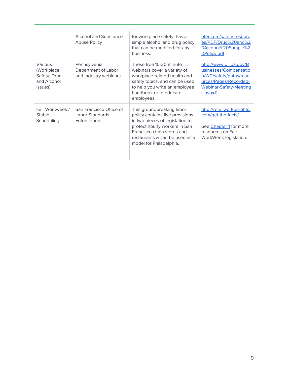|                                                                 | <b>Alcohol and Substance</b><br>Abuse Policy                 | for workplace safety, has a<br>simple alcohol and drug policy<br>that can be modified for any<br>business.                                                                                                                  | nter.com/safety-resourc<br>es/PDF/Drug%20and%2<br>0Alcohol%20Sample%2<br>OPolicy.pdf                                                                  |
|-----------------------------------------------------------------|--------------------------------------------------------------|-----------------------------------------------------------------------------------------------------------------------------------------------------------------------------------------------------------------------------|-------------------------------------------------------------------------------------------------------------------------------------------------------|
| Various<br>(Workplace<br>Safety, Drug<br>and Alcohol<br>Issues) | Pennsylvania<br>Department of Labor<br>and Industry webinars | These free 15-20 minute<br>webinars cover a variety of<br>workplace-related health and<br>safety topics, and can be used<br>to help you write an employee<br>handbook or to educate<br>employees.                           | http://www.dli.pa.gov/B<br>usinesses/Compensatio<br>n/WC/safety/paths/reso<br>urces/Pages/Recorded-<br><b>Webinar-Safety-Meeting</b><br>$s$ .asp $x#$ |
| Fair Workweek /<br><b>Stable</b><br>Scheduling                  | San Francisco Office of<br>Labor Standards<br>Enforcement    | This groundbreaking labor<br>policy contains five provisions<br>in two pieces of legislation to<br>protect hourly workers in San<br>Francisco chain stores and<br>restaurants & can be used as a<br>model for Philadelphia. | http://retailworkerrights.<br>com/get-the-facts/<br>See Chapter 1 for more<br>resources on Fair<br>WorkWeek legislation.                              |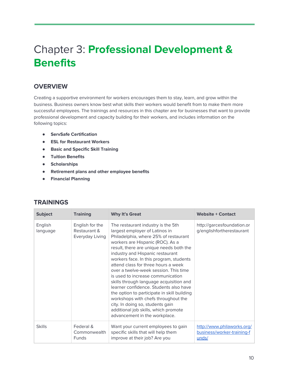## <span id="page-10-0"></span>Chapter 3: **Professional Development & Benefits**

#### **OVERVIEW**

Creating a supportive environment for workers encourages them to stay, learn, and grow within the business. Business owners know best what skills their workers would benefit from to make them more successful employees. The trainings and resources in this chapter are for businesses that want to provide professional development and capacity building for their workers, and includes information on the following topics:

- **● ServSafe Certification**
- **● ESL for Restaurant Workers**
- **● Basic and Specific Skill Training**
- **● Tuition Benefits**
- **● Scholarships**
- **● Retirement plans and other employee benefits**
- **● Financial Planning**

| <b>Subject</b>      | <b>Training</b>                                    | <b>Why It's Great</b>                                                                                                                                                                                                                                                                                                                                                                                                                                                                                                                                                                                                                                                                    | <b>Website + Contact</b>                                          |
|---------------------|----------------------------------------------------|------------------------------------------------------------------------------------------------------------------------------------------------------------------------------------------------------------------------------------------------------------------------------------------------------------------------------------------------------------------------------------------------------------------------------------------------------------------------------------------------------------------------------------------------------------------------------------------------------------------------------------------------------------------------------------------|-------------------------------------------------------------------|
| English<br>language | English for the<br>Restaurant &<br>Everyday Living | The restaurant industry is the 5th<br>largest employer of Latinos in<br>Philadelphia, where 25% of restaurant<br>workers are Hispanic (ROC). As a<br>result, there are unique needs both the<br>industry and Hispanic restaurant<br>workers face. In this program, students<br>attend class for three hours a week<br>over a twelve-week session. This time<br>is used to increase communication<br>skills through language acquisition and<br>learner confidence. Students also have<br>the option to participate in skill building<br>workshops with chefs throughout the<br>city. In doing so, students gain<br>additional job skills, which promote<br>advancement in the workplace. | http://garcesfoundation.or<br>g/englishfortherestaurant           |
| <b>Skills</b>       | Federal &<br>Commonwealth<br><b>Funds</b>          | Want your current employees to gain<br>specific skills that will help them<br>improve at their job? Are you                                                                                                                                                                                                                                                                                                                                                                                                                                                                                                                                                                              | http://www.philaworks.org/<br>business/worker-training-f<br>unds/ |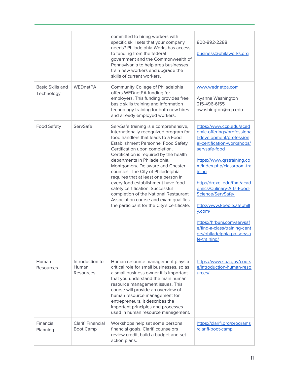|                                |                                              | committed to hiring workers with<br>specific skill sets that your company<br>needs? Philadelphia Works has access<br>to funding from the federal<br>government and the Commonwealth of<br>Pennsylvania to help area businesses<br>train new workers and upgrade the<br>skills of current workers.                                                                                                                                                                                                                                                                                                             | 800-892-2288<br>business@philaworks.org                                                                                                                                                                                                                                                                                                                                                                                                       |
|--------------------------------|----------------------------------------------|---------------------------------------------------------------------------------------------------------------------------------------------------------------------------------------------------------------------------------------------------------------------------------------------------------------------------------------------------------------------------------------------------------------------------------------------------------------------------------------------------------------------------------------------------------------------------------------------------------------|-----------------------------------------------------------------------------------------------------------------------------------------------------------------------------------------------------------------------------------------------------------------------------------------------------------------------------------------------------------------------------------------------------------------------------------------------|
| Basic Skills and<br>Technology | WEDnetPA                                     | Community College of Philadelphia<br>offers WEDnetPA funding for<br>employers. This funding provides free<br>basic skills training and information<br>technology training for both new hires<br>and already employed workers.                                                                                                                                                                                                                                                                                                                                                                                 | www.wednetpa.com<br>Ayanna Washington<br>215-496-6155<br>awashington@ccp.edu                                                                                                                                                                                                                                                                                                                                                                  |
| <b>Food Safety</b>             | ServSafe                                     | ServSafe training is a comprehensive,<br>internationally recognized program for<br>food handlers that leads to a Food<br><b>Establishment Personnel Food Safety</b><br>Certification upon completion.<br>Certification is required by the health<br>departments in Philadelphia,<br>Montgomery, Delaware and Chester<br>counties. The City of Philadelphia<br>requires that at least one person in<br>every food establishment have food<br>safety certification. Successful<br>completion of the National Restaurant<br>Association course and exam qualifies<br>the participant for the City's certificate. | https://www.ccp.edu/acad<br>emic-offerings/professiona<br>I-development/profession<br>al-certification-workshops/<br>servsafe-food<br>https://www.grstraining.co<br>m/index.php/classroom-tra<br>ining<br>http://drexel.edu/fhm/acad<br>emics/Culinary-Arts-Food-<br>Science/ServSafe/<br>http://www.keepitsafephill<br>$y$ .com/<br>https://hrbuni.com/servsaf<br>e/find-a-class/training-cent<br>ers/philadelphia-pa-servsa<br>fe-training/ |
| Human<br><b>Resources</b>      | Introduction to<br><b>Human</b><br>Resources | Human resource management plays a<br>critical role for small businesses, so as<br>a small business owner it is important<br>that you understand the main human<br>resource management issues. This<br>course will provide an overview of<br>human resource management for<br>entrepreneurs. It describes the<br>important principles and processes<br>used in human resource management.                                                                                                                                                                                                                      | https://www.sba.gov/cours<br>e/introduction-human-reso<br>urces/                                                                                                                                                                                                                                                                                                                                                                              |
| Financial<br>Planning          | <b>Clarifi Financial</b><br><b>Boot Camp</b> | Workshops help set some personal<br>financial goals. Clarifi counselors<br>review credit, build a budget and set<br>action plans.                                                                                                                                                                                                                                                                                                                                                                                                                                                                             | https://clarifi.org/programs<br>/clarifi-boot-camp                                                                                                                                                                                                                                                                                                                                                                                            |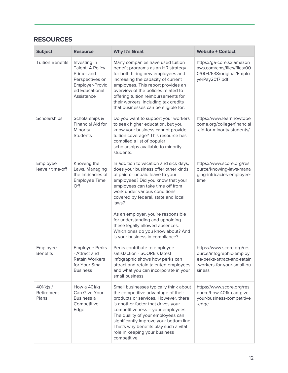| <b>Subject</b>                   | <b>Resource</b>                                                                                                      | <b>Why It's Great</b>                                                                                                                                                                                                                                                                                                                                                                                                                                           | <b>Website + Contact</b>                                                                                                     |
|----------------------------------|----------------------------------------------------------------------------------------------------------------------|-----------------------------------------------------------------------------------------------------------------------------------------------------------------------------------------------------------------------------------------------------------------------------------------------------------------------------------------------------------------------------------------------------------------------------------------------------------------|------------------------------------------------------------------------------------------------------------------------------|
| <b>Tuition Benefits</b>          | Investing in<br>Talent: A Policy<br>Primer and<br>Perspectives on<br>Employer-Provid<br>ed Educational<br>Assistance | Many companies have used tuition<br>benefit programs as an HR strategy<br>for both hiring new employees and<br>increasing the capacity of current<br>employees. This report provides an<br>overview of the policies related to<br>offering tuition reimbursements for<br>their workers, including tax credits<br>that businesses can be eligible for.                                                                                                           | https://ga-core.s3.amazon<br>aws.com/cms/files/files/00<br>0/004/638/original/Emplo<br>yerPay2017.pdf                        |
| Scholarships                     | Scholarships &<br>Financial Aid for<br>Minority<br><b>Students</b>                                                   | Do you want to support your workers<br>to seek higher education, but you<br>know your business cannot provide<br>tuition coverage? This resource has<br>compiled a list of popular<br>scholarships available to minority<br>students.                                                                                                                                                                                                                           | https://www.learnhowtobe<br>come.org/college/financial<br>-aid-for-minority-students/                                        |
| Employee<br>leave / time-off     | Knowing the<br>Laws, Managing<br>the Intricacies of<br>Employee Time<br>Off                                          | In addition to vacation and sick days,<br>does your business offer other kinds<br>of paid or unpaid leave to your<br>employees? Did you know that your<br>employees can take time off from<br>work under various conditions<br>covered by federal, state and local<br>laws?<br>As an employer, you're responsible<br>for understanding and upholding<br>these legally allowed absences.<br>Which ones do you know about? And<br>is your business in compliance? | https://www.score.org/res<br>ource/knowing-laws-mana<br>ging-intricacies-employee-<br>time                                   |
| Employee<br><b>Benefits</b>      | <b>Employee Perks</b><br>- Attract and<br><b>Retain Workers</b><br>for Your Small<br><b>Business</b>                 | Perks contribute to employee<br>satisfaction - SCORE's latest<br>infographic shows how perks can<br>attract and retain talented employees<br>and what you can incorporate in your<br>small business.                                                                                                                                                                                                                                                            | https://www.score.org/res<br>ource/infographic-employ<br>ee-perks-attract-and-retain<br>-workers-for-your-small-bu<br>siness |
| 401(k)s /<br>Retirement<br>Plans | How a 401(k)<br>Can Give Your<br>Business a<br>Competitive<br>Edge                                                   | Small businesses typically think about<br>the competitive advantage of their<br>products or services. However, there<br>is another factor that drives your<br>competitiveness - your employees.<br>The quality of your employees can<br>significantly improve your bottom line.<br>That's why benefits play such a vital<br>role in keeping your business<br>competitive.                                                                                       | https://www.score.org/res<br>ource/how-401k-can-give-<br>your-business-competitive<br>-edge                                  |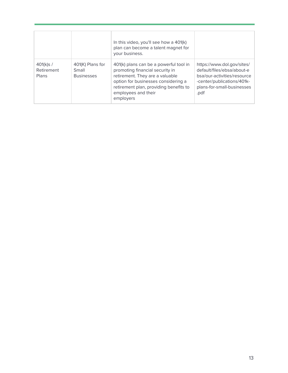|                                 |                                                | In this video, you'll see how a 401(k)<br>plan can become a talent magnet for<br>your business.                                                                                                                                   |                                                                                                                                                             |
|---------------------------------|------------------------------------------------|-----------------------------------------------------------------------------------------------------------------------------------------------------------------------------------------------------------------------------------|-------------------------------------------------------------------------------------------------------------------------------------------------------------|
| 401(k)s/<br>Retirement<br>Plans | 401(K) Plans for<br>Small<br><b>Businesses</b> | 401(k) plans can be a powerful tool in<br>promoting financial security in<br>retirement. They are a valuable<br>option for businesses considering a<br>retirement plan, providing benefits to<br>employees and their<br>employers | https://www.dol.gov/sites/<br>default/files/ebsa/about-e<br>bsa/our-activities/resource<br>-center/publications/401k-<br>plans-for-small-businesses<br>.pdf |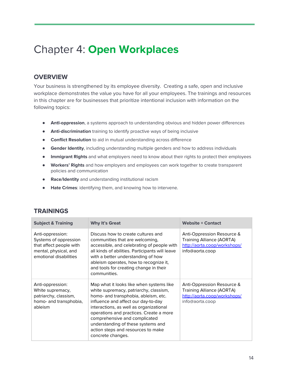### <span id="page-14-0"></span>Chapter 4: **Open Workplaces**

#### **OVERVIEW**

Your business is strengthened by its employee diversity. Creating a safe, open and inclusive workplace demonstrates the value you have for all your employees. The trainings and resources in this chapter are for businesses that prioritize intentional inclusion with information on the following topics:

- **AntI-oppression**, a systems approach to understanding obvious and hidden power differences
- **● Anti-discrimination** training to identify proactive ways of being inclusive
- **● Conflict Resolution** to aid in mutual understanding across difference
- **● Gender Identity**, including understanding multiple genders and how to address individuals
- **● Immigrant Rights** and what employers need to know about their rights to protect their employees
- **● Workers' Rights** and how employers and employees can work together to create transparent policies and communication
- **● Race/Identity** and understanding institutional racism
- **● Hate Crimes**: identifying them, and knowing how to intervene.

| <b>Subject &amp; Training</b>                                                                                           | <b>Why It's Great</b>                                                                                                                                                                                                                                                                                                                                                                     | <b>Website + Contact</b>                                                                                          |
|-------------------------------------------------------------------------------------------------------------------------|-------------------------------------------------------------------------------------------------------------------------------------------------------------------------------------------------------------------------------------------------------------------------------------------------------------------------------------------------------------------------------------------|-------------------------------------------------------------------------------------------------------------------|
| Anti-oppression:<br>Systems of oppression<br>that affect people with<br>mental, physical, and<br>emotional disabilities | Discuss how to create cultures and<br>communities that are welcoming,<br>accessible, and celebrating of people with<br>all kinds of abilities. Participants will leave<br>with a better understanding of how<br>ableism operates, how to recognize it,<br>and tools for creating change in their<br>communities.                                                                          | Anti-Oppression Resource &<br><b>Training Alliance (AORTA)</b><br>http://aorta.coop/workshops/<br>info@aorta.coop |
| Anti-oppression:<br>White supremacy,<br>patriarchy, classism,<br>homo- and transphobia,<br>ableism                      | Map what it looks like when systems like<br>white supremacy, patriarchy, classism,<br>homo- and transphobia, ableism, etc.<br>influence and affect our day-to-day<br>interactions, as well as organizational<br>operations and practices. Create a more<br>comprehensive and complicated<br>understanding of these systems and<br>action steps and resources to make<br>concrete changes. | Anti-Oppression Resource &<br>Training Alliance (AORTA)<br>http://aorta.coop/workshops/<br>info@aorta.coop        |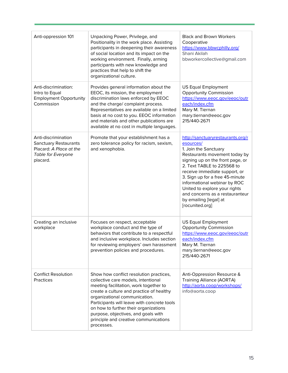| Anti-oppression 101                                                                                              | Unpacking Power, Privilege, and<br>Positionality in the work place. Assisting<br>participants in deepening their awareness<br>of social location and its impact on the<br>working environment. Finally, arming<br>participants with new knowledge and<br>practices that help to shift the<br>organizational culture.                                                                        | <b>Black and Brown Workers</b><br>Cooperative<br>https://www.bbwcphilly.org/<br>Shani Akilah<br>bbworkercollective@gmail.com                                                                                                                                                                                                                                                                    |
|------------------------------------------------------------------------------------------------------------------|---------------------------------------------------------------------------------------------------------------------------------------------------------------------------------------------------------------------------------------------------------------------------------------------------------------------------------------------------------------------------------------------|-------------------------------------------------------------------------------------------------------------------------------------------------------------------------------------------------------------------------------------------------------------------------------------------------------------------------------------------------------------------------------------------------|
| Anti-discrimination:<br>Intro to Equal<br><b>Employment Opportunity</b><br>Commission                            | Provides general information about the<br>EEOC, its mission, the employment<br>discrimination laws enforced by EEOC<br>and the charge/ complaint process.<br>Representatives are available on a limited<br>basis at no cost to you. EEOC information<br>and materials and other publications are<br>available at no cost in multiple languages.                                             | <b>US Equal Employment</b><br><b>Opportunity Commission</b><br>https://www.eeoc.gov/eeoc/outr<br>each/index.cfm<br>Mary M. Tiernan<br>mary.tiernan@eeoc.gov<br>215/440-2671                                                                                                                                                                                                                     |
| Anti-discrimination<br><b>Sanctuary Restaurants</b><br>Placard: A Place at the<br>Table for Everyone<br>placard. | Promote that your establishment has a<br>zero tolerance policy for racism, sexism,<br>and xenophobia.                                                                                                                                                                                                                                                                                       | http://sanctuaryrestaurants.org/r<br>esources/<br>1. Join the Sanctuary<br>Restaurants movement today by<br>signing up on the front page, or<br>2. Text TABLE to 225568 to<br>receive immediate support, or<br>3. Sign up for a free 45-minute<br>informational webinar by ROC<br>United to explore your rights<br>and concerns as a restauranteur<br>by emailing [legal] at<br>[rocunited.org] |
| Creating an inclusive<br>workplace                                                                               | Focuses on respect, acceptable<br>workplace conduct and the type of<br>behaviors that contribute to a respectful<br>and inclusive workplace. Includes section<br>for reviewing employers' own harassment<br>prevention policies and procedures.                                                                                                                                             | <b>US Equal Employment</b><br><b>Opportunity Commission</b><br>https://www.eeoc.gov/eeoc/outr<br>each/index.cfm<br>Mary M. Tiernan<br>mary.tiernan@eeoc.gov<br>215/440-2671                                                                                                                                                                                                                     |
| <b>Conflict Resolution</b><br><b>Practices</b>                                                                   | Show how conflict resolution practices,<br>collective care models, intentional<br>meeting facilitation, work together to<br>create a culture and practice of healthy<br>organizational communication.<br>Participants will leave with concrete tools<br>on how to further their organizations<br>purpose, objectives, and goals with<br>principle and creative communications<br>processes. | Anti-Oppression Resource &<br><b>Training Alliance (AORTA)</b><br>http://aorta.coop/workshops/<br>info@aorta.coop                                                                                                                                                                                                                                                                               |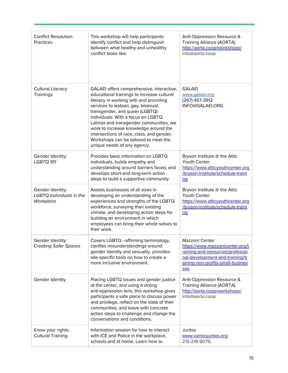| <b>Conflict Resolution</b><br>Practices                          | This workshop will help participants<br>identify conflict and help distinguish<br>between what healthy and unhealthy<br>conflict looks like.                                                                                                                                                                                                                                                                                                              | Anti-Oppression Resource &<br><b>Training Alliance (AORTA)</b><br>http://aorta.coop/workshops/<br>info@aorta.coop                                                         |
|------------------------------------------------------------------|-----------------------------------------------------------------------------------------------------------------------------------------------------------------------------------------------------------------------------------------------------------------------------------------------------------------------------------------------------------------------------------------------------------------------------------------------------------|---------------------------------------------------------------------------------------------------------------------------------------------------------------------------|
| <b>Cultural Literacy</b><br>Trainings                            | GALAEI offers comprehensive, interactive,<br>educational trainings to increase cultural<br>literacy in working with and providing<br>services to lesbian, gay, bisexual,<br>transgender, and queer (LGBTQ)<br>individuals. With a focus on LGBTQ<br>Latinos and transgender communities, we<br>work to increase knowledge around the<br>intersections of race, class, and gender.<br>Workshops can be tailored to meet the<br>unique needs of any agency. | <b>GALAEI</b><br>www.galaei.org<br>(267) 457-3912<br>INFO@GALAEI.ORG                                                                                                      |
| Gender Identity:<br>LGBTQ 101                                    | Provides basic information on LGBTQ<br>individuals, builds empathy and<br>understanding around barriers faced, and<br>develops short-and long-term action<br>steps to build a supportive community.                                                                                                                                                                                                                                                       | Bryson Institute @ the Attic<br>Youth Center<br>https://www.atticyouthcenter.org<br>/bryson-institute/schedule-traini<br>nq                                               |
| Gender Identity:<br><b>LGBTQ Individuals in the</b><br>Workplace | Assists businesses of all sizes in<br>developing an understanding of the<br>experiences and strengths of the LGBTQ<br>workforce, surveying their existing<br>climate, and developing action steps for<br>building an environment in which<br>employees can bring their whole selves to<br>their work.                                                                                                                                                     | Bryson Institute @ the Attic<br>Youth Center<br>https://www.atticyouthcenter.org<br>/bryson-institute/schedule-traini<br>nq                                               |
| Gender Identity:<br><b>Creating Safer Spaces</b>                 | Covers LGBTQ -affirming terminology,<br>clarifies misunderstandings around<br>gender identity and sexuality, provides<br>site-specific tools on how to create a<br>more inclusive environment.                                                                                                                                                                                                                                                            | Mazzoni Center<br>https://www.mazzonicenter.org/t<br>raining-and-resources/professio<br>nal-development-and-training/tr<br>aining-non-profits-small-busines<br><b>ses</b> |
| Gender Identity                                                  | Placing LGBTQ issues and gender justice<br>at the center, and using a strong<br>anti-oppression lens, this workshop gives<br>participants a safe place to discuss power<br>and privilege, reflect on the state of their<br>communities, and leave with concrete<br>action steps to challenge and change the<br>conversations and conditions.                                                                                                              | Anti-Oppression Resource &<br><b>Training Alliance (AORTA)</b><br>http://aorta.coop/workshops/<br>info@aorta.coop                                                         |
| Know your rights:<br><b>Cultural Training</b>                    | Information session for how to interact<br>with ICE and Police in the workplace,<br>schools and at home. Learn how to                                                                                                                                                                                                                                                                                                                                     | Juntos<br>www.vamosjuntos.org<br>215-218-9079,                                                                                                                            |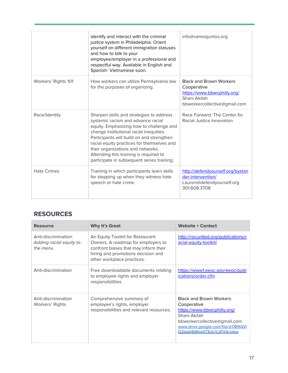|                     | identify and interact with the criminal<br>justice system in Philadelphia. Orient<br>yourself on different immigration statuses<br>and how to talk to your<br>employee/employer in a professional and<br>respectful way. Available in English and<br>Spanish- Vietnamese soon.                                                                                                                | info@vamosjuntos.org                                                                                                         |
|---------------------|-----------------------------------------------------------------------------------------------------------------------------------------------------------------------------------------------------------------------------------------------------------------------------------------------------------------------------------------------------------------------------------------------|------------------------------------------------------------------------------------------------------------------------------|
| Workers' Rights 101 | How workers can utilize Pennsylvania law<br>for the purposes of organizing.                                                                                                                                                                                                                                                                                                                   | <b>Black and Brown Workers</b><br>Cooperative<br>https://www.bbwcphilly.org/<br>Shani Akilah<br>bbworkercollective@gmail.com |
| Race/Identity       | Sharpen skills and strategies to address<br>systemic racism and advance racial<br>equity. Emphasizing how to challenge and<br>change institutional racial inequities.<br>Participants will build on and strengthen<br>racial equity practices for themselves and<br>their organizations and networks.<br>Attending this training is required to<br>participate in subsequent series training. | Race Forward: The Center for<br>Racial Justice Innovation                                                                    |
| <b>Hate Crimes</b>  | Training in which participants learn skills<br>for stepping up when they witness hate<br>speech or hate crime.                                                                                                                                                                                                                                                                                | http://defendyourself.org/bystan<br>der-intervention/<br>Lauren@defendyourself.org<br>301.608.3708                           |

| <b>Resource</b>                                             | <b>Why It's Great</b>                                                                                                                                                               | <b>Website + Contact</b>                                                                                                                                                                          |
|-------------------------------------------------------------|-------------------------------------------------------------------------------------------------------------------------------------------------------------------------------------|---------------------------------------------------------------------------------------------------------------------------------------------------------------------------------------------------|
| Anti-discrimination:<br>Adding racial equity to<br>the menu | An Equity Toolkit for Restaurant<br>Owners. A roadmap for employers to<br>confront biases that may inform their<br>hiring and promotions decision and<br>other workplace practices. | http://rocunited.org/publications/r<br>acial-equity-toolkit/                                                                                                                                      |
| Anti-discrimination                                         | Free downloadable documents relating<br>to employee rights and employer<br>responsibilities.                                                                                        | https://www1.eeoc.gov/eeoc/publ<br>ications/order.cfm                                                                                                                                             |
| Anti-discrimination<br>Workers' Rights                      | Comprehensive summary of<br>employee's rights, employer<br>responsibilities and relevant resources.                                                                                 | <b>Black and Brown Workers</b><br>Cooperative<br>https://www.bbwcphilly.org/<br>Shani Akilah<br>bbworkercollective@gmail.com<br>www.drive.google.com/file/d/0B9QVI<br>D2taghEMms0TEdJYiJFVlk/view |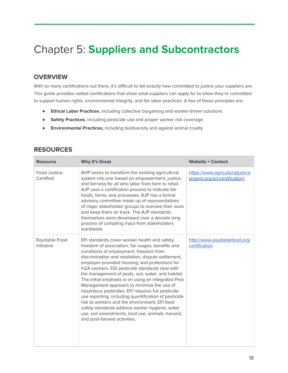### <span id="page-18-0"></span>Chapter 5: **Suppliers and Subcontractors**

#### **OVERVIEW**

With so many certifications out there, it's difficult to tell exactly how committed to justice your suppliers are. This guide provides vetted certifications that show what suppliers can apply for to show they're committed to support human rights, environmental integrity, and fair labor practices. A few of these principles are:

- **Ethical Labor Practices**, including collective bargaining and worker-driven solutions
- **Safety Practices**, including pesticide use and proper worker risk coverage
- **Environmental Practices,** including biodiversity and against animal cruelty

| <b>Resource</b>                  | <b>Why It's Great</b>                                                                                                                                                                                                                                                                                                                                                                                                                                                                                                                                                                                                                                                                                                                                                  | <b>Website + Contact</b>                                         |  |
|----------------------------------|------------------------------------------------------------------------------------------------------------------------------------------------------------------------------------------------------------------------------------------------------------------------------------------------------------------------------------------------------------------------------------------------------------------------------------------------------------------------------------------------------------------------------------------------------------------------------------------------------------------------------------------------------------------------------------------------------------------------------------------------------------------------|------------------------------------------------------------------|--|
| <b>Food Justice</b><br>Certified | AHP works to transform the existing agricultural<br>system into one based on empowerment, justice,<br>and fairness for all who labor from farm to retail.<br>AJP uses a certification process to indicate fair<br>foods, farms, and processes. AJP has a formal<br>advisory committee made up of representatives<br>of major stakeholder groups to oversee their work<br>and keep them on track. The AJP standards<br>themselves were developed over a decade long<br>process of compiling input from stakeholders<br>worldwide.                                                                                                                                                                                                                                       | https://www.agriculturaljustice<br>project.org/en/certification/ |  |
| Equitable Food<br>Initiative     | EFI standards cover worker health and safety,<br>freedom of association, fair wages, benefits and<br>conditions of employment, freedom from<br>discrimination and retaliation, dispute settlement,<br>employer-provided housing, and protections for<br>H2A workers. EDI pesticide standards deal with<br>the management of pests, soil, water, and habitat.<br>The initial emphasis is on using an integrated Pest<br>Management approach to minimize the use of<br>hazardous pesticides. EFI requires full pesticide<br>use reporting, including quantification of pesticide<br>risk to workers and the environment. EFI food<br>safety standards address worker hygiene, water<br>use, soil amendments, land use, animals, harvest,<br>and post-harvest activities. | http://www.equitablefood.org/<br>certification                   |  |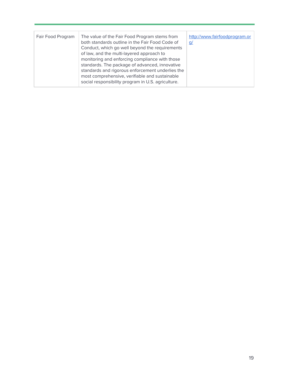| Fair Food Program | The value of the Fair Food Program stems from<br>both standards outline in the Fair Food Code of<br>Conduct, which go well beyond the requirements<br>of law, and the multi-layered approach to<br>monitoring and enforcing compliance with those<br>standards. The package of advanced, innovative | http://www.fairfoodprogram.or<br><u>q/</u> |
|-------------------|-----------------------------------------------------------------------------------------------------------------------------------------------------------------------------------------------------------------------------------------------------------------------------------------------------|--------------------------------------------|
|                   | standards and rigorous enforcement underlies the<br>most comprehensive, verifiable and sustainable<br>social responsibility program in U.S. agriculture.                                                                                                                                            |                                            |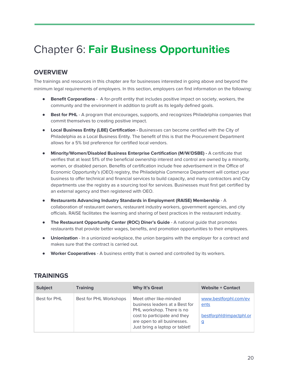### <span id="page-20-0"></span>Chapter 6: **Fair Business Opportunities**

#### **OVERVIEW**

The trainings and resources in this chapter are for businesses interested in going above and beyond the minimum legal requirements of employers. In this section, employers can find information on the following:

- **Benefit Corporations** A for-profit entity that includes positive impact on society, workers, the community and the environment in addition to profit as its legally defined goals.
- **Best for PHL** A program that encourages, supports, and recognizes Philadelphia companies that commit themselves to creating positive impact.
- **● Local Business Entity (LBE) Certification -** Businesses can become certified with the City of Philadelphia as a Local Business Entity. The benefit of this is that the Procurement Department allows for a 5% bid preference for certified local vendors.
- **Minority/Women/Disabled Business Enterprise Certification (M/W/DSBE) -** A certificate that verifies that at least 51% of the beneficial ownership interest and control are owned by a minority, women, or disabled person. Benefits of certification include free advertisement in the Office of Economic Opportunity's (OEO) registry, the Philadelphia Commerce Department will contact your business to offer technical and financial services to build capacity, and many contractors and City departments use the registry as a sourcing tool for services. Businesses must first get certified by an external agency and then registered with OEO.
- **Restaurants Advancing Industry Standards in Employment (RAISE) Membership** A collaboration of restaurant owners, restaurant industry workers, government agencies, and city officials. RAISE facilitates the learning and sharing of best practices in the restaurant industry.
- **The Restaurant Opportunity Center (ROC) Diner's Guide** A national guide that promotes restaurants that provide better wages, benefits, and promotion opportunities to their employees.
- **Unionization** In a unionized workplace, the union bargains with the employer for a contract and makes sure that the contract is carried out.
- **Worker Cooperatives** A business entity that is owned and controlled by its workers.

| <b>Subject</b> | <b>Training</b>        | <b>Why It's Great</b>                                                                                                                                                                  | <b>Website + Contact</b>                                             |
|----------------|------------------------|----------------------------------------------------------------------------------------------------------------------------------------------------------------------------------------|----------------------------------------------------------------------|
| Best for PHL   | Best for PHL Workshops | Meet other like-minded<br>business leaders at a Best for<br>PHL workshop. There is no<br>cost to participate and they<br>are open to all businesses.<br>Just bring a laptop or tablet! | www.bestforphl.com/ev<br>ents<br>bestforphl@impactphl.or<br><u>ପ</u> |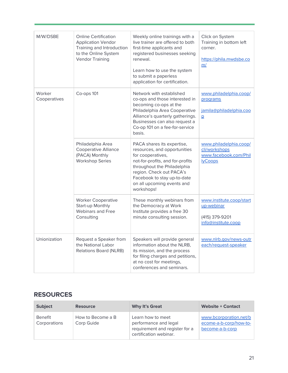| M/W/DSBE               | <b>Online Certification</b><br><b>Application Vendor</b><br>Training and Introduction<br>to the Online System<br><b>Vendor Training</b> | Weekly online trainings with a<br>live trainer are offered to both<br>first-time applicants and<br>registered businesses seeking<br>renewal.<br>Learn how to use the system<br>to submit a paperless<br>application for certification.                    | Click on System<br>Training in bottom left<br>corner.<br>https://phila.mwdsbe.co<br>m/ |
|------------------------|-----------------------------------------------------------------------------------------------------------------------------------------|-----------------------------------------------------------------------------------------------------------------------------------------------------------------------------------------------------------------------------------------------------------|----------------------------------------------------------------------------------------|
| Worker<br>Cooperatives | Co-ops 101                                                                                                                              | Network with established<br>co-ops and those interested in<br>becoming co-ops at the<br>Philadelphia Area Cooperative<br>Alliance's quarterly gatherings.<br>Businesses can also request a<br>Co-op 101 on a fee-for-service<br>basis.                    | www.philadelphia.coop/<br>programs<br>jamila@philadelphia.coo<br>$\overline{p}$        |
|                        | Philadelphia Area<br><b>Cooperative Alliance</b><br>(PACA) Monthly<br><b>Workshop Series</b>                                            | PACA shares its expertise,<br>resources, and opportunities<br>for cooperatives,<br>not-for-profits, and for-profits<br>throughout the Philadelphia<br>region. Check out PACA's<br>Facebook to stay up-to-date<br>on all upcoming events and<br>workshops! | www.philadelphia.coop/<br>cli/workshops<br>www.facebook.com/Phil<br><b>lyCoops</b>     |
|                        | <b>Worker Cooperative</b><br>Start-up Monthly<br><b>Webinars and Free</b><br>Consulting                                                 | These monthly webinars from<br>the Democracy at Work<br>Institute provides a free 30<br>minute consulting session.                                                                                                                                        | www.institute.coop/start<br>up-webinar<br>(415) 379-9201<br>info@institute.coop        |
| Unionization           | Request a Speaker from<br>the National Labor<br><b>Relations Board (NLRB)</b>                                                           | Speakers will provide general<br>information about the NLRB,<br>its mission, and the process<br>for filing charges and petitions,<br>at no cost for meetings,<br>conferences and seminars.                                                                | www.nlrb.gov/news-outr<br>each/request-speaker                                         |

| <b>Subject</b>                 | <b>Resource</b>                 | <b>Why It's Great</b>                                                                                  | <b>Website + Contact</b>                                            |
|--------------------------------|---------------------------------|--------------------------------------------------------------------------------------------------------|---------------------------------------------------------------------|
| <b>Benefit</b><br>Corporations | How to Become a B<br>Corp Guide | Learn how to meet<br>performance and legal<br>requirement and register for a<br>certification webinar. | www.bcorporation.net/b<br>ecome-a-b-corp/how-to-<br>become-a-b-corp |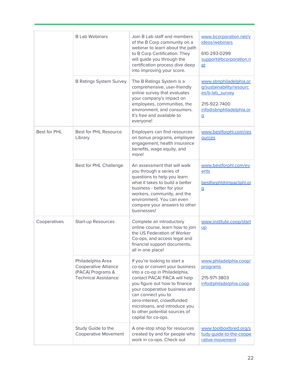|              | <b>B Lab Webinars</b>                                                                                | Join B Lab staff and members<br>of the B Corp community on a<br>webinar to learn about the path<br>to B Corp Certification. They<br>will guide you through the<br>certification process dive deep<br>into improving your score.                                                                                                                | www.bcorporation.net/v<br>ideos/webinars<br>610-293-0299<br>support@bcorporation.n<br>et                                           |
|--------------|------------------------------------------------------------------------------------------------------|------------------------------------------------------------------------------------------------------------------------------------------------------------------------------------------------------------------------------------------------------------------------------------------------------------------------------------------------|------------------------------------------------------------------------------------------------------------------------------------|
|              | <b>B Ratings System Survey</b>                                                                       | The B Ratings System is a<br>comprehensive, user-friendly<br>online survey that evaluates<br>your company's impact on<br>employees, communities, the<br>environment, and consumers.<br>It's free and available to<br>everyone!                                                                                                                 | www.sbnphiladelphia.or<br>g/sustainability/resourc<br>es/b-lab_survey<br>215-922-7400<br>info@sbnphiladelphia.or<br>$\overline{a}$ |
| Best for PHL | Best for PHL Resource<br>Library                                                                     | Employers can find resources<br>on bonus programs, employee<br>engagement, health insurance<br>benefits, wage equity, and<br>more!                                                                                                                                                                                                             | www.bestforphl.com/res<br>ources                                                                                                   |
|              | Best for PHL Challenge                                                                               | An assessment that will walk<br>you through a series of<br>questions to help you learn<br>what it takes to build a better<br>business - better for your<br>workers, community, and the<br>environment. You can even<br>compare your answers to other<br>businesses!                                                                            | www.bestforphl.com/ev<br>ents<br>bestforphl@impactphl.or<br>$\mathbf{q}$                                                           |
| Cooperatives | <b>Start-up Resources</b>                                                                            | Complete an introductory<br>online course, learn how to join<br>the US Federation of Worker<br>Co-ops, and access legal and<br>financial support documents,<br>all in one place!                                                                                                                                                               | www.institute.coop/start<br>$\mathsf{u}\mathsf{p}$                                                                                 |
|              | Philadelphia Area<br><b>Cooperative Alliance</b><br>(PACA) Programs &<br><b>Technical Assistance</b> | If you're looking to start a<br>co-op or convert your business<br>into a co-op in Philadelphia,<br>contact PACA! PACA will help<br>you figure out how to finance<br>your cooperative business and<br>can connect you to<br>zero-interest, crowdfunded<br>microloans, and introduce you<br>to other potential sources of<br>capital for co-ops. | www.philadelphia.coop/<br>programs<br>215-971-3803<br>info@philadelphia.coop                                                       |
|              | Study Guide to the<br><b>Cooperative Movement</b>                                                    | A one-stop shop for resources<br>created by and for people who<br>work in co-ops. Check out                                                                                                                                                                                                                                                    | www.toolboxfored.org/s<br>tudy-quide-to-the-coope<br>rative-movement                                                               |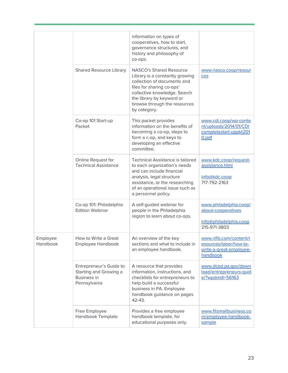|                      |                                                                                         | information on types of                                                                                                                                                                                                                    |                                                                                         |
|----------------------|-----------------------------------------------------------------------------------------|--------------------------------------------------------------------------------------------------------------------------------------------------------------------------------------------------------------------------------------------|-----------------------------------------------------------------------------------------|
|                      |                                                                                         | cooperatives, how to start,<br>governance structures, and<br>history and philosophy of<br>co-ops.                                                                                                                                          |                                                                                         |
|                      | <b>Shared Resource Library</b>                                                          | <b>NASCO's Shared Resource</b><br>Library is a constantly growing<br>collection of documents and<br>files for sharing co-ops'<br>collective knowledge. Search<br>the library by keyword or<br>browse through the resources<br>by category. | www.nasco.coop/resour<br>ces                                                            |
|                      | Co-op 101 Start-up<br>Packet                                                            | This packet provides<br>information on the benefits of<br>becoming a co-op, steps to<br>form a c-op, and keys to<br>developing an effective<br>committee.                                                                                  | www.cdi.coop/wp-conte<br>nt/uploads/2014/01/CDI<br>completestart-uppkt201<br>0.pdf      |
|                      | Online Request for<br><b>Technical Assistance</b>                                       | <b>Technical Assistance is tailored</b><br>to each organization's needs<br>and can include financial<br>analysis, legal structure<br>assistance, or the researching<br>of an operational issue such as<br>a personnel policy.              | www.kdc.coop/request-<br>assistance.html<br>info@kdc.coop<br>717-792-2163               |
|                      | Co-op 101: Philadelphia<br><b>Edition Webinar</b>                                       | A self-guided webinar for<br>people in the Philadelphia<br>region to learn about co-ops.                                                                                                                                                   | www.philadelphia.coop/<br>about-cooperatives<br>info@philadelphia.coop<br>215-971-3803  |
| Employee<br>Handbook | How to Write a Great<br>Employee Handbook                                               | An overview of the key<br>sections and what to include in<br>an employee handbook.                                                                                                                                                         | www.nfib.com/content/r<br>esources/labor/how-to-<br>write-a-great-employee-<br>handbook |
|                      | Entrepreneur's Guide to<br>Starting and Growing a<br><b>Business in</b><br>Pennsylvania | A resource that provides<br>information, instructions, and<br>checklists for entrepreneurs to<br>help build a successful<br>business in PA. Employee<br>handbook guidance on pages<br>42-43.                                               | www.dced.pa.gov/down<br>load/entrepreneurs-quid<br>e/?wpdmdl=56163                      |
|                      | Free Employee<br>Handbook Template                                                      | Provides a free employee<br>handbook template, for<br>educational purposes only.                                                                                                                                                           | www.fitsmallbusiness.co<br>m/employee-handbook-<br>sample                               |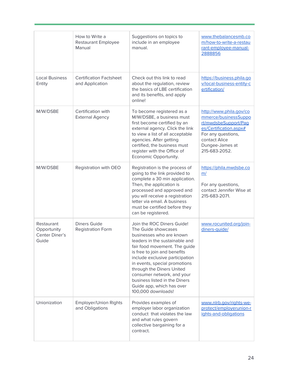|                                                      | How to Write a<br><b>Restaurant Employee</b><br>Manual | Suggestions on topics to<br>include in an employee<br>manual.                                                                                                                                                                                                                                                                                                                                       | www.thebalancesmb.co<br>m/how-to-write-a-restau<br>rant-employee-manual-<br>2888856                                                                                          |
|------------------------------------------------------|--------------------------------------------------------|-----------------------------------------------------------------------------------------------------------------------------------------------------------------------------------------------------------------------------------------------------------------------------------------------------------------------------------------------------------------------------------------------------|------------------------------------------------------------------------------------------------------------------------------------------------------------------------------|
| <b>Local Business</b><br>Entity                      | <b>Certification Factsheet</b><br>and Application      | Check out this link to read<br>about the regulation, review<br>the basics of LBE certification<br>and its benefits, and apply<br>online!                                                                                                                                                                                                                                                            | https://business.phila.go<br>v/local-business-entity-c<br>ertification/                                                                                                      |
| M/W/DSBE                                             | Certification with<br><b>External Agency</b>           | To become registered as a<br>M/W/DSBE, a business must<br>first become certified by an<br>external agency. Click the link<br>to view a list of all acceptable<br>agencies. After getting<br>certified, the business must<br>register with the Office of<br>Economic Opportunity.                                                                                                                    | http://www.phila.gov/co<br>mmerce/businessSuppo<br>rt/mwdsbeSupport/Paq<br>es/Certification.aspx#<br>For any questions,<br>contact Alice<br>Dungee-James at<br>215-683-2052. |
| M/W/DSBE                                             | Registration with OEO                                  | Registration is the process of<br>going to the link provided to<br>complete a 30 min application.<br>Then, the application is<br>processed and approved and<br>you will receive a registration<br>letter via email. A business<br>must be certified before they<br>can be registered.                                                                                                               | https://phila.mwdsbe.co<br>m/<br>For any questions,<br>contact Jennifer Wise at<br>215-683-2071.                                                                             |
| Restaurant<br>Opportunity<br>Center Diner's<br>Guide | <b>Diners Guide</b><br><b>Registration Form</b>        | Join the ROC Diners Guide!<br>The Guide showcases<br>businesses who are known<br>leaders in the sustainable and<br>fair food movement. The guide<br>is free to join and benefits<br>include exclusive participation<br>in events, special promotions<br>through the Diners United<br>consumer network, and your<br>business listed in the Diners<br>Guide app, which has over<br>100,000 downloads! | www.rocunited.org/join-<br>diners-quide/                                                                                                                                     |
| Unionization                                         | <b>Employer/Union Rights</b><br>and Obligations        | Provides examples of<br>employer labor organization<br>conduct that violates the law<br>and what rules govern<br>collective bargaining for a<br>contract.                                                                                                                                                                                                                                           | www.nlrb.gov/rights-we-<br>protect/employerunion-r<br>ights-and-obligations                                                                                                  |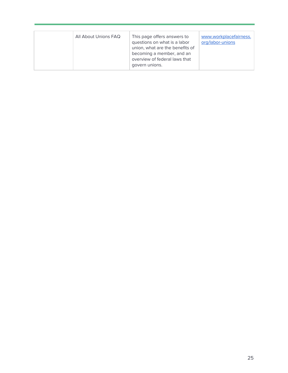| All About Unions FAQ | This page offers answers to<br>questions on what is a labor<br>union, what are the benefits of<br>becoming a member, and an<br>overview of federal laws that<br>govern unions. | www.workplacefairness.<br>org/labor-unions |
|----------------------|--------------------------------------------------------------------------------------------------------------------------------------------------------------------------------|--------------------------------------------|
|----------------------|--------------------------------------------------------------------------------------------------------------------------------------------------------------------------------|--------------------------------------------|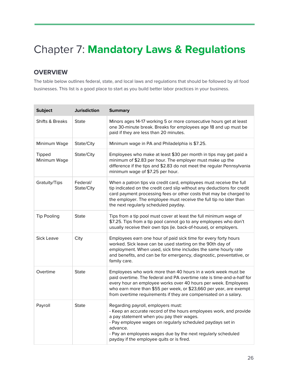## <span id="page-26-0"></span>Chapter 7: **Mandatory Laws & Regulations**

#### **OVERVIEW**

The table below outlines federal, state, and local laws and regulations that should be followed by all food businesses. This list is a good place to start as you build better labor practices in your business.

| <b>Subject</b>                | <b>Jurisdiction</b>    | <b>Summary</b>                                                                                                                                                                                                                                                                                                                                    |
|-------------------------------|------------------------|---------------------------------------------------------------------------------------------------------------------------------------------------------------------------------------------------------------------------------------------------------------------------------------------------------------------------------------------------|
| <b>Shifts &amp; Breaks</b>    | <b>State</b>           | Minors ages 14-17 working 5 or more consecutive hours get at least<br>one 30-minute break. Breaks for employees age 18 and up must be<br>paid if they are less than 20 minutes.                                                                                                                                                                   |
| Minimum Wage                  | State/City             | Minimum wage in PA and Philadelphia is \$7.25.                                                                                                                                                                                                                                                                                                    |
| <b>Tipped</b><br>Minimum Wage | State/City             | Employees who make at least \$30 per month in tips may get paid a<br>minimum of \$2.83 per hour. The employer must make up the<br>difference if the tips and \$2.83 do not meet the regular Pennsylvania<br>minimum wage of \$7.25 per hour.                                                                                                      |
| Gratuity/Tips                 | Federal/<br>State/City | When a patron tips via credit card, employees must receive the full<br>tip indicated on the credit card slip without any deductions for credit<br>card payment processing fees or other costs that may be charged to<br>the employer. The employee must receive the full tip no later than<br>the next regularly scheduled payday.                |
| <b>Tip Pooling</b>            | State                  | Tips from a tip pool must cover at least the full minimum wage of<br>\$7.25. Tips from a tip pool cannot go to any employees who don't<br>usually receive their own tips (ie. back-of-house), or employers.                                                                                                                                       |
| Sick Leave                    | City                   | Employees earn one hour of paid sick time for every forty hours<br>worked. Sick leave can be used starting on the 90th day of<br>employment. When used, sick time includes the same hourly rate<br>and benefits, and can be for emergency, diagnostic, preventative, or<br>family care.                                                           |
| Overtime                      | <b>State</b>           | Employees who work more than 40 hours in a work week must be<br>paid overtime. The federal and PA overtime rate is time-and-a-half for<br>every hour an employee works over 40 hours per week. Employees<br>who earn more than \$55 per week, or \$23,660 per year, are exempt<br>from overtime requirements if they are compensated on a salary. |
| Payroll                       | <b>State</b>           | Regarding payroll, employers must:<br>- Keep an accurate record of the hours employees work, and provide<br>a pay statement when you pay their wages.<br>- Pay employee wages on regularly scheduled paydays set in<br>advance.<br>- Pay an employees wages due by the next regularly scheduled<br>payday if the employee quits or is fired.      |